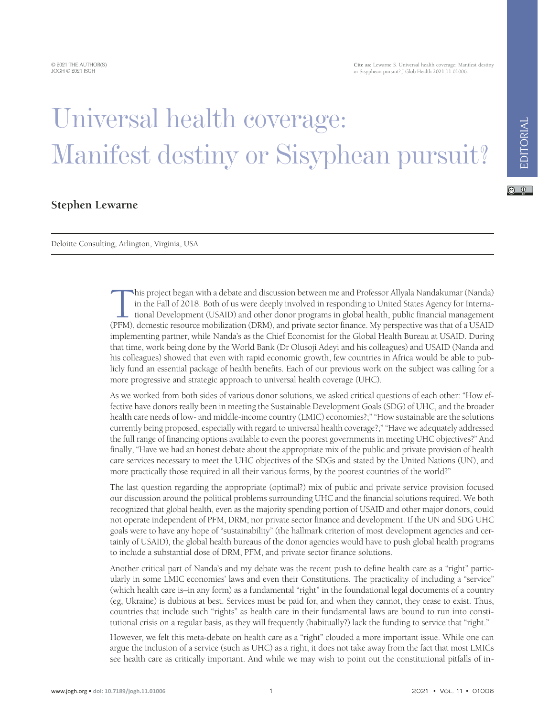## Universal health coverage: Manifest destiny or Sisyphean pursuit?

## **Stephen Lewarne**

Deloitte Consulting, Arlington, Virginia, USA

This project began with a debate and discussion between me and Professor Allyala Nandakumar (Nanda)<br>in the Fall of 2018. Both of us were deeply involved in responding to United States Agency for Interna-<br>tional Development in the Fall of 2018. Both of us were deeply involved in responding to United States Agency for International Development (USAID) and other donor programs in global health, public financial management (PFM), domestic resource mobilization (DRM), and private sector finance. My perspective was that of a USAID implementing partner, while Nanda's as the Chief Economist for the Global Health Bureau at USAID. During that time, work being done by the World Bank (Dr Olusoji Adeyi and his colleagues) and USAID (Nanda and his colleagues) showed that even with rapid economic growth, few countries in Africa would be able to publicly fund an essential package of health benefits. Each of our previous work on the subject was calling for a more progressive and strategic approach to universal health coverage (UHC).

As we worked from both sides of various donor solutions, we asked critical questions of each other: "How effective have donors really been in meeting the Sustainable Development Goals (SDG) of UHC, and the broader health care needs of low- and middle-income country (LMIC) economies?;" "How sustainable are the solutions currently being proposed, especially with regard to universal health coverage?;" "Have we adequately addressed the full range of financing options available to even the poorest governments in meeting UHC objectives?" And finally, "Have we had an honest debate about the appropriate mix of the public and private provision of health care services necessary to meet the UHC objectives of the SDGs and stated by the United Nations (UN), and more practically those required in all their various forms, by the poorest countries of the world?"

The last question regarding the appropriate (optimal?) mix of public and private service provision focused our discussion around the political problems surrounding UHC and the financial solutions required. We both recognized that global health, even as the majority spending portion of USAID and other major donors, could not operate independent of PFM, DRM, nor private sector finance and development. If the UN and SDG UHC goals were to have any hope of "sustainability" (the hallmark criterion of most development agencies and certainly of USAID), the global health bureaus of the donor agencies would have to push global health programs to include a substantial dose of DRM, PFM, and private sector finance solutions.

Another critical part of Nanda's and my debate was the recent push to define health care as a "right" particularly in some LMIC economies' laws and even their Constitutions. The practicality of including a "service" (which health care is–in any form) as a fundamental "right" in the foundational legal documents of a country (eg, Ukraine) is dubious at best. Services must be paid for, and when they cannot, they cease to exist. Thus, countries that include such "rights" as health care in their fundamental laws are bound to run into constitutional crisis on a regular basis, as they will frequently (habitually?) lack the funding to service that "right."

However, we felt this meta-debate on health care as a "right" clouded a more important issue. While one can argue the inclusion of a service (such as UHC) as a right, it does not take away from the fact that most LMICs see health care as critically important. And while we may wish to point out the constitutional pitfalls of in-

**Cite as:** Lewarne S. Universal health coverage: Manifest destiny or Sisyphean pursuit? J Glob Health 2021;11:01006.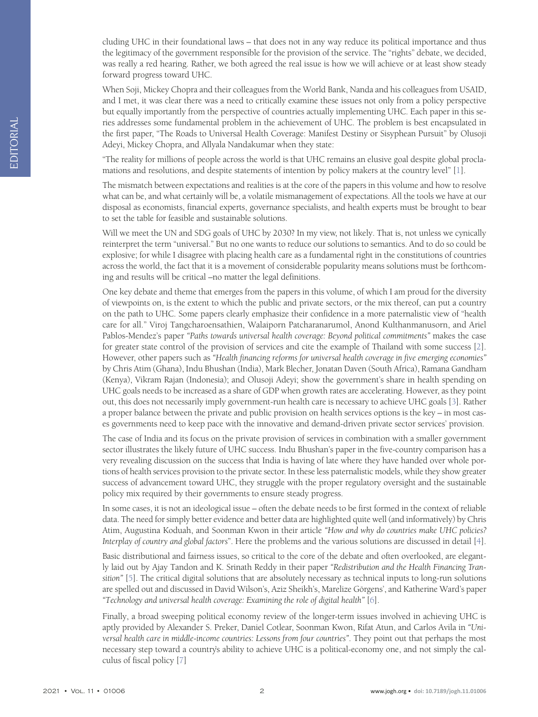cluding UHC in their foundational laws – that does not in any way reduce its political importance and thus the legitimacy of the government responsible for the provision of the service. The "rights" debate, we decided, was really a red hearing. Rather, we both agreed the real issue is how we will achieve or at least show steady forward progress toward UHC.

When Soji, Mickey Chopra and their colleagues from the World Bank, Nanda and his colleagues from USAID, and I met, it was clear there was a need to critically examine these issues not only from a policy perspective but equally importantly from the perspective of countries actually implementing UHC. Each paper in this series addresses some fundamental problem in the achievement of UHC. The problem is best encapsulated in the first paper, "The Roads to Universal Health Coverage: Manifest Destiny or Sisyphean Pursuit" by Olusoji Adeyi, Mickey Chopra, and Allyala Nandakumar when they state:

"The reality for millions of people across the world is that UHC remains an elusive goal despite global proclamations and resolutions, and despite statements of intention by policy makers at the country level" [\[1](#page-2-0)].

The mismatch between expectations and realities is at the core of the papers in this volume and how to resolve what can be, and what certainly will be, a volatile mismanagement of expectations. All the tools we have at our disposal as economists, financial experts, governance specialists, and health experts must be brought to bear to set the table for feasible and sustainable solutions.

Will we meet the UN and SDG goals of UHC by 2030? In my view, not likely. That is, not unless we cynically reinterpret the term "universal." But no one wants to reduce our solutions to semantics. And to do so could be explosive; for while I disagree with placing health care as a fundamental right in the constitutions of countries across the world, the fact that it is a movement of considerable popularity means solutions must be forthcoming and results will be critical –no matter the legal definitions.

One key debate and theme that emerges from the papers in this volume, of which I am proud for the diversity of viewpoints on, is the extent to which the public and private sectors, or the mix thereof, can put a country on the path to UHC. Some papers clearly emphasize their confidence in a more paternalistic view of "health care for all." Viroj Tangcharoensathien, Walaiporn Patcharanarumol, Anond Kulthanmanusorn, and Ariel Pablos-Mendez's paper *"Paths towards universal health coverage: Beyond political commitments"* makes the case for greater state control of the provision of services and cite the example of Thailand with some success [[2\]](#page-2-1). However, other papers such as *"Health financing reforms for universal health coverage in five emerging economies"* by Chris Atim (Ghana), Indu Bhushan (India), Mark Blecher, Jonatan Daven (South Africa), Ramana Gandham (Kenya), Vikram Rajan (Indonesia); and Olusoji Adeyi; show the government's share in health spending on UHC goals needs to be increased as a share of GDP when growth rates are accelerating. However, as they point out, this does not necessarily imply government-run health care is necessary to achieve UHC goals [\[3\]](#page-2-2). Rather a proper balance between the private and public provision on health services options is the key – in most cases governments need to keep pace with the innovative and demand-driven private sector services' provision.

The case of India and its focus on the private provision of services in combination with a smaller government sector illustrates the likely future of UHC success. Indu Bhushan's paper in the five-country comparison has a very revealing discussion on the success that India is having of late where they have handed over whole portions of health services provision to the private sector. In these less paternalistic models, while they show greater success of advancement toward UHC, they struggle with the proper regulatory oversight and the sustainable policy mix required by their governments to ensure steady progress.

In some cases, it is not an ideological issue – often the debate needs to be first formed in the context of reliable data. The need for simply better evidence and better data are highlighted quite well (and informatively) by Chris Atim, Augustina Koduah, and Soonman Kwon in their article *"How and why do countries make UHC policies? Interplay of country and global factors*". Here the problems and the various solutions are discussed in detail [[4\]](#page-2-3).

Basic distributional and fairness issues, so critical to the core of the debate and often overlooked, are elegantly laid out by Ajay Tandon and K. Srinath Reddy in their paper *"Redistribution and the Health Financing Transition"* [\[5](#page-2-4)]. The critical digital solutions that are absolutely necessary as technical inputs to long-run solutions are spelled out and discussed in David Wilson's, Aziz Sheikh's, Marelize Görgens', and Katherine Ward's paper *"Technology and universal health coverage: Examining the role of digital health"* [\[6\]](#page-2-5).

Finally, a broad sweeping political economy review of the longer-term issues involved in achieving UHC is aptly provided by Alexander S. Preker, Daniel Cotlear, Soonman Kwon, Rifat Atun, and Carlos Avila in *"Universal health care in middle-income countries: Lessons from four countries"*. They point out that perhaps the most necessary step toward a country's ability to achieve UHC is a political-economy one, and not simply the calculus of fiscal policy [\[7](#page-2-6)]